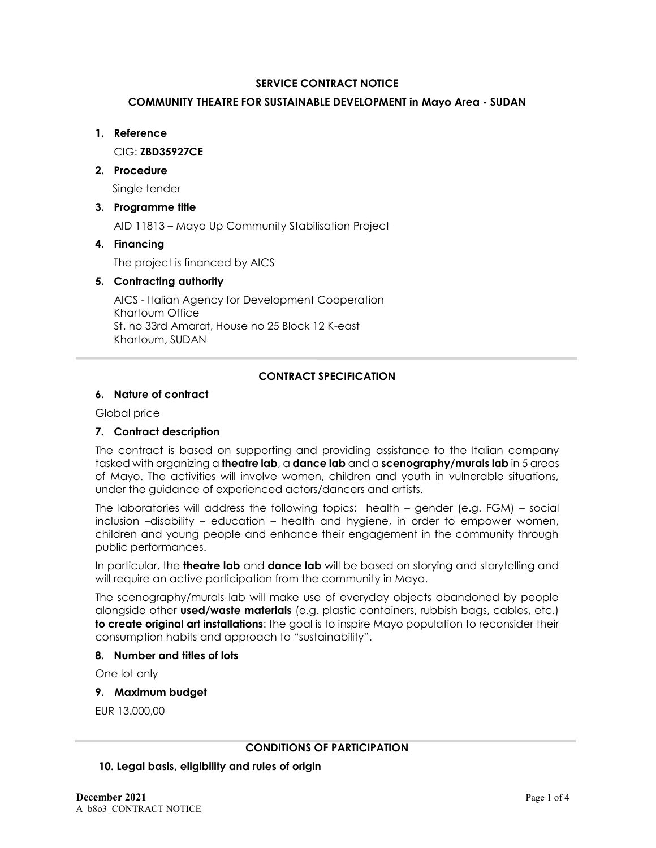## **SERVICE CONTRACT NOTICE**

## **COMMUNITY THEATRE FOR SUSTAINABLE DEVELOPMENT in Mayo Area - SUDAN**

### **1. Reference**

CIG: **ZBD35927CE**

## **2. Procedure**

Single tender

# **3. Programme title**

AID 11813 – Mayo Up Community Stabilisation Project

# **4. Financing**

The project is financed by AICS

## **5. Contracting authority**

AICS - Italian Agency for Development Cooperation Khartoum Office St. no 33rd Amarat, House no 25 Block 12 K-east Khartoum, SUDAN

## **CONTRACT SPECIFICATION**

## **6. Nature of contract**

Global price

# **7. Contract description**

The contract is based on supporting and providing assistance to the Italian company tasked with organizing a **theatre lab**, a **dance lab** and a **scenography/murals lab** in 5 areas of Mayo. The activities will involve women, children and youth in vulnerable situations, under the guidance of experienced actors/dancers and artists.

The laboratories will address the following topics: health – gender (e.g. FGM) – social inclusion –disability – education – health and hygiene, in order to empower women, children and young people and enhance their engagement in the community through public performances.

In particular, the **theatre lab** and **dance lab** will be based on storying and storytelling and will require an active participation from the community in Mayo.

The scenography/murals lab will make use of everyday objects abandoned by people alongside other **used/waste materials** (e.g. plastic containers, rubbish bags, cables, etc.) **to create original art installations**: the goal is to inspire Mayo population to reconsider their consumption habits and approach to "sustainability".

### **8. Number and titles of lots**

One lot only

**9. Maximum budget**

EUR 13.000,00

### **CONDITIONS OF PARTICIPATION**

### **10. Legal basis, eligibility and rules of origin**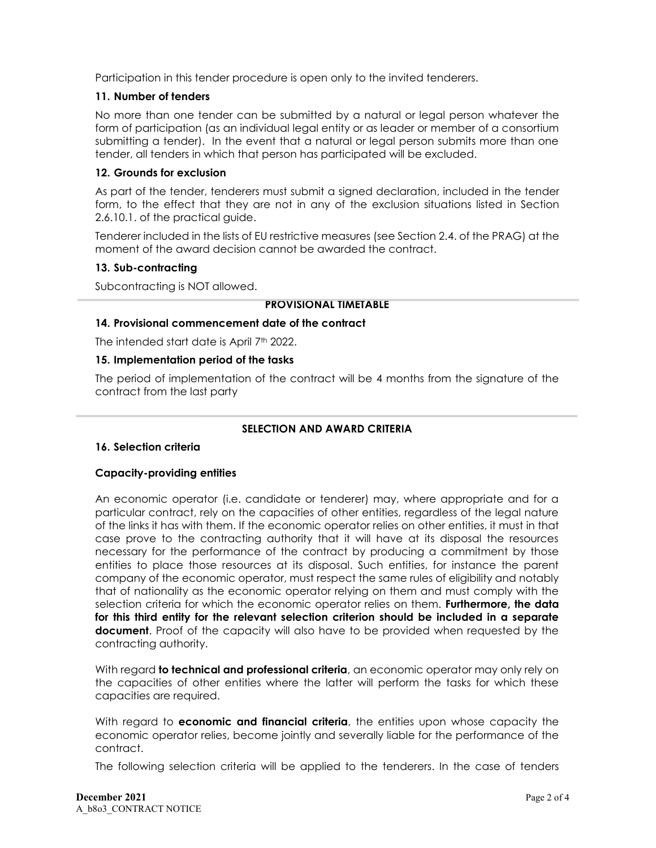Participation in this tender procedure is open only to the invited tenderers.

## **11. Number of tenders**

No more than one tender can be submitted by a natural or legal person whatever the form of participation (as an individual legal entity or as leader or member of a consortium submitting a tender). In the event that a natural or legal person submits more than one tender, all tenders in which that person has participated will be excluded.

## **12. Grounds for exclusion**

As part of the tender, tenderers must submit a signed declaration, included in the tender form, to the effect that they are not in any of the exclusion situations listed in Section 2.6.10.1. of the practical guide.

Tenderer included in the lists of EU restrictive measures (see Section 2.4. of the PRAG) at the moment of the award decision cannot be awarded the contract.

## **13. Sub-contracting**

Subcontracting is NOT allowed.

## **PROVISIONAL TIMETABLE**

## **14. Provisional commencement date of the contract**

The intended start date is April 7th 2022.

## **15. Implementation period of the tasks**

The period of implementation of the contract will be 4 months from the signature of the contract from the last party

## **SELECTION AND AWARD CRITERIA**

# **16. Selection criteria**

# **Capacity-providing entities**

An economic operator (i.e. candidate or tenderer) may, where appropriate and for a particular contract, rely on the capacities of other entities, regardless of the legal nature of the links it has with them. If the economic operator relies on other entities, it must in that case prove to the contracting authority that it will have at its disposal the resources necessary for the performance of the contract by producing a commitment by those entities to place those resources at its disposal. Such entities, for instance the parent company of the economic operator, must respect the same rules of eligibility and notably that of nationality as the economic operator relying on them and must comply with the selection criteria for which the economic operator relies on them. **Furthermore, the data for this third entity for the relevant selection criterion should be included in a separate document**. Proof of the capacity will also have to be provided when requested by the contracting authority.

With regard **to technical and professional criteria**, an economic operator may only rely on the capacities of other entities where the latter will perform the tasks for which these capacities are required.

With regard to **economic and financial criteria**, the entities upon whose capacity the economic operator relies, become jointly and severally liable for the performance of the contract.

The following selection criteria will be applied to the tenderers. In the case of tenders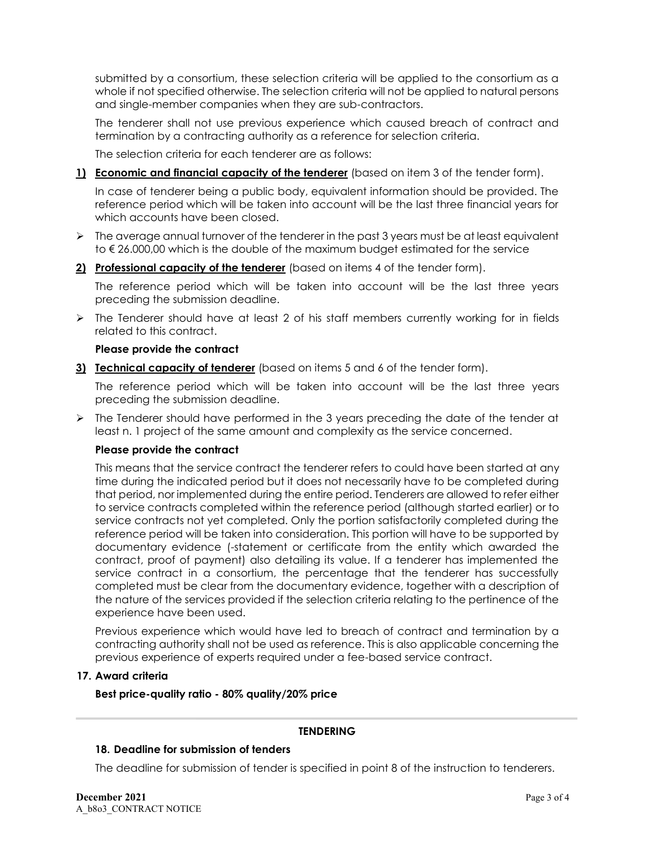submitted by a consortium, these selection criteria will be applied to the consortium as a whole if not specified otherwise. The selection criteria will not be applied to natural persons and single-member companies when they are sub-contractors.

The tenderer shall not use previous experience which caused breach of contract and termination by a contracting authority as a reference for selection criteria.

The selection criteria for each tenderer are as follows:

**1) Economic and financial capacity of the tenderer** (based on item 3 of the tender form).

In case of tenderer being a public body, equivalent information should be provided. The reference period which will be taken into account will be the last three financial years for which accounts have been closed.

- $\triangleright$  The average annual turnover of the tenderer in the past 3 years must be at least equivalent to € 26.000,00 which is the double of the maximum budget estimated for the service
- **2) Professional capacity of the tenderer** (based on items 4 of the tender form).

The reference period which will be taken into account will be the last three years preceding the submission deadline.

 $\triangleright$  The Tenderer should have at least 2 of his staff members currently working for in fields related to this contract.

## **Please provide the contract**

**3) Technical capacity of tenderer** (based on items 5 and 6 of the tender form).

The reference period which will be taken into account will be the last three years preceding the submission deadline.

 $\triangleright$  The Tenderer should have performed in the 3 years preceding the date of the tender at least n. 1 project of the same amount and complexity as the service concerned.

### **Please provide the contract**

This means that the service contract the tenderer refers to could have been started at any time during the indicated period but it does not necessarily have to be completed during that period, nor implemented during the entire period. Tenderers are allowed to refer either to service contracts completed within the reference period (although started earlier) or to service contracts not yet completed. Only the portion satisfactorily completed during the reference period will be taken into consideration. This portion will have to be supported by documentary evidence (-statement or certificate from the entity which awarded the contract, proof of payment) also detailing its value. If a tenderer has implemented the service contract in a consortium, the percentage that the tenderer has successfully completed must be clear from the documentary evidence, together with a description of the nature of the services provided if the selection criteria relating to the pertinence of the experience have been used.

Previous experience which would have led to breach of contract and termination by a contracting authority shall not be used as reference. This is also applicable concerning the previous experience of experts required under a fee-based service contract.

### **17. Award criteria**

**Best price-quality ratio - 80% quality/20% price**

## **TENDERING**

### **18. Deadline for submission of tenders**

The deadline for submission of tender is specified in point 8 of the instruction to tenderers.